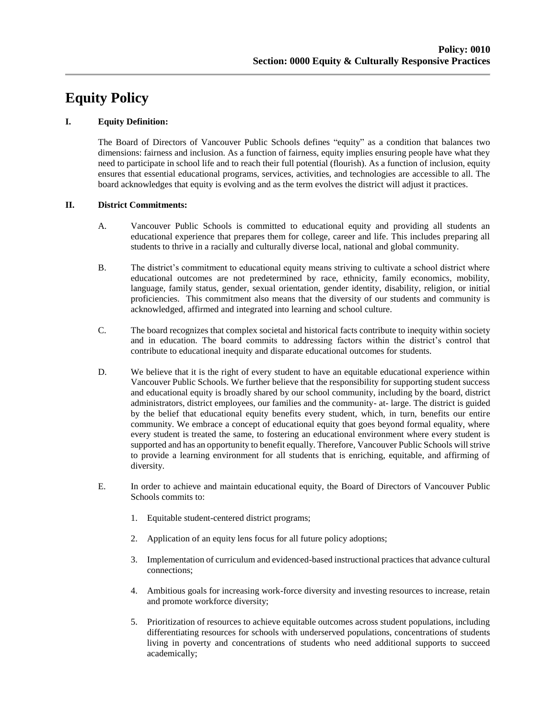# **Equity Policy**

## **I. Equity Definition:**

The Board of Directors of Vancouver Public Schools defines "equity" as a condition that balances two dimensions: fairness and inclusion. As a function of fairness, equity implies ensuring people have what they need to participate in school life and to reach their full potential (flourish). As a function of inclusion, equity ensures that essential educational programs, services, activities, and technologies are accessible to all. The board acknowledges that equity is evolving and as the term evolves the district will adjust it practices.

# **II. District Commitments:**

- A. Vancouver Public Schools is committed to educational equity and providing all students an educational experience that prepares them for college, career and life. This includes preparing all students to thrive in a racially and culturally diverse local, national and global community.
- B. The district's commitment to educational equity means striving to cultivate a school district where educational outcomes are not predetermined by race, ethnicity, family economics, mobility, language, family status, gender, sexual orientation, gender identity, disability, religion, or initial proficiencies. This commitment also means that the diversity of our students and community is acknowledged, affirmed and integrated into learning and school culture.
- C. The board recognizes that complex societal and historical facts contribute to inequity within society and in education. The board commits to addressing factors within the district's control that contribute to educational inequity and disparate educational outcomes for students.
- D. We believe that it is the right of every student to have an equitable educational experience within Vancouver Public Schools. We further believe that the responsibility for supporting student success and educational equity is broadly shared by our school community, including by the board, district administrators, district employees, our families and the community- at- large. The district is guided by the belief that educational equity benefits every student, which, in turn, benefits our entire community. We embrace a concept of educational equity that goes beyond formal equality, where every student is treated the same, to fostering an educational environment where every student is supported and has an opportunity to benefit equally. Therefore, Vancouver Public Schools will strive to provide a learning environment for all students that is enriching, equitable, and affirming of diversity.
- E. In order to achieve and maintain educational equity, the Board of Directors of Vancouver Public Schools commits to:
	- 1. Equitable student-centered district programs;
	- 2. Application of an equity lens focus for all future policy adoptions;
	- 3. Implementation of curriculum and evidenced-based instructional practices that advance cultural connections;
	- 4. Ambitious goals for increasing work-force diversity and investing resources to increase, retain and promote workforce diversity;
	- 5. Prioritization of resources to achieve equitable outcomes across student populations, including differentiating resources for schools with underserved populations, concentrations of students living in poverty and concentrations of students who need additional supports to succeed academically;